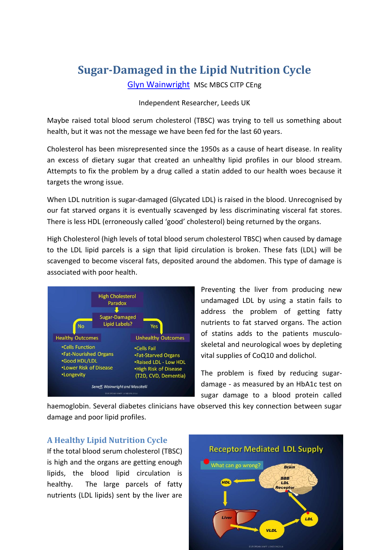# **Sugar-Damaged in the Lipid Nutrition Cycle**

[Glyn Wainwright](http://bit.ly/PmLyPK) MSc MBCS CITP CEng

#### Independent Researcher, Leeds UK

Maybe raised total blood serum cholesterol (TBSC) was trying to tell us something about health, but it was not the message we have been fed for the last 60 years.

Cholesterol has been misrepresented since the 1950s as a cause of heart disease. In reality an excess of dietary sugar that created an unhealthy lipid profiles in our blood stream. Attempts to fix the problem by a drug called a statin added to our health woes because it targets the wrong issue.

When LDL nutrition is sugar-damaged (Glycated LDL) is raised in the blood. Unrecognised by our fat starved organs it is eventually scavenged by less discriminating visceral fat stores. There is less HDL (erroneously called 'good' cholesterol) being returned by the organs.

High Cholesterol (high levels of total blood serum cholesterol TBSC) when caused by damage to the LDL lipid parcels is a sign that lipid circulation is broken. These fats (LDL) will be scavenged to become visceral fats, deposited around the abdomen. This type of damage is associated with poor health.



Preventing the liver from producing new undamaged LDL by using a statin fails to address the problem of getting fatty nutrients to fat starved organs. The action of statins adds to the patients musculoskeletal and neurological woes by depleting vital supplies of CoQ10 and dolichol.

The problem is fixed by reducing sugardamage - as measured by an HbA1c test on sugar damage to a blood protein called

haemoglobin. Several diabetes clinicians have observed this key connection between sugar damage and poor lipid profiles.

## **A Healthy Lipid Nutrition Cycle**

If the total blood serum cholesterol (TBSC) is high and the organs are getting enough lipids, the blood lipid circulation is healthy. The large parcels of fatty nutrients (LDL lipids) sent by the liver are

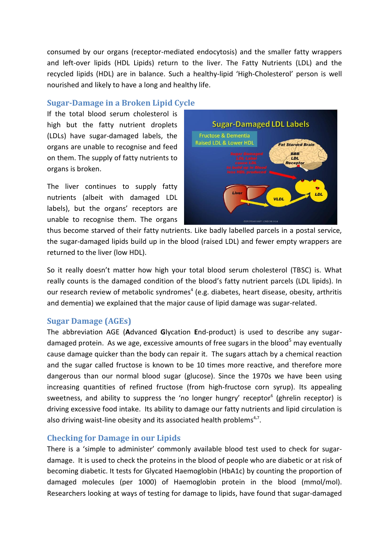consumed by our organs (receptor-mediated endocytosis) and the smaller fatty wrappers and left-over lipids (HDL Lipids) return to the liver. The Fatty Nutrients (LDL) and the recycled lipids (HDL) are in balance. Such a healthy-lipid 'High-Cholesterol' person is well nourished and likely to have a long and healthy life.

### **Sugar-Damage in a Broken Lipid Cycle**

If the total blood serum cholesterol is high but the fatty nutrient droplets (LDLs) have sugar-damaged labels, the organs are unable to recognise and feed on them. The supply of fatty nutrients to organs is broken.

The liver continues to supply fatty nutrients (albeit with damaged LDL labels), but the organs' receptors are unable to recognise them. The organs



thus become starved of their fatty nutrients. Like badly labelled parcels in a postal service, the sugar-damaged lipids build up in the blood (raised LDL) and fewer empty wrappers are returned to the liver (low HDL).

So it really doesn't matter how high your total blood serum cholesterol (TBSC) is. What really counts is the damaged condition of the blood's fatty nutrient parcels (LDL lipids). In our research review of metabolic syndromes<sup>4</sup> (e.g. diabetes, heart disease, obesity, arthritis and dementia) we explained that the major cause of lipid damage was sugar-related.

### **Sugar Damage (AGEs)**

The abbreviation AGE (**A**dvanced **G**lycation **E**nd-product) is used to describe any sugardamaged protein. As we age, excessive amounts of free sugars in the blood<sup>5</sup> may eventually cause damage quicker than the body can repair it. The sugars attach by a chemical reaction and the sugar called fructose is known to be 10 times more reactive, and therefore more dangerous than our normal blood sugar (glucose). Since the 1970s we have been using increasing quantities of refined fructose (from high-fructose corn syrup). Its appealing sweetness, and ability to suppress the 'no longer hungry' receptor<sup>6</sup> (ghrelin receptor) is driving excessive food intake. Its ability to damage our fatty nutrients and lipid circulation is also driving waist-line obesity and its associated health problems<sup>4,7</sup>.

## **Checking for Damage in our Lipids**

There is a 'simple to administer' commonly available blood test used to check for sugardamage. It is used to check the proteins in the blood of people who are diabetic or at risk of becoming diabetic. It tests for Glycated Haemoglobin (HbA1c) by counting the proportion of damaged molecules (per 1000) of Haemoglobin protein in the blood (mmol/mol). Researchers looking at ways of testing for damage to lipids, have found that sugar-damaged